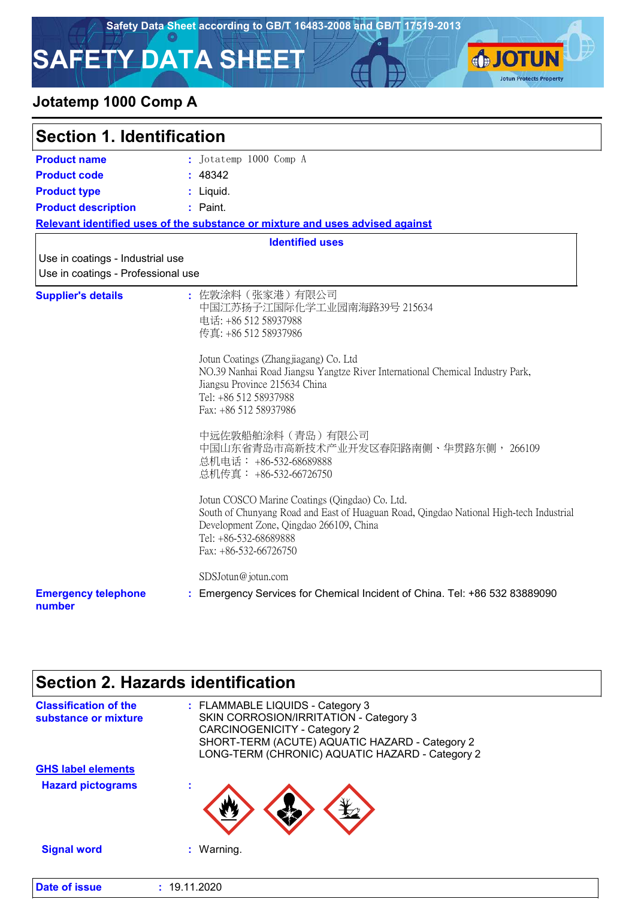**SJOTUN** 

**Jotun Protects Property** 

# **SAFETY DATA SHEET**

### **Jotatemp 1000 Comp A**

| <b>Section 1. Identification</b>                                       |                                                                                                                                                                                                                                                                                                                                                                                                                                                                                                                                                                                                                                                                        |  |
|------------------------------------------------------------------------|------------------------------------------------------------------------------------------------------------------------------------------------------------------------------------------------------------------------------------------------------------------------------------------------------------------------------------------------------------------------------------------------------------------------------------------------------------------------------------------------------------------------------------------------------------------------------------------------------------------------------------------------------------------------|--|
| <b>Product name</b>                                                    | : Jotatemp 1000 Comp A                                                                                                                                                                                                                                                                                                                                                                                                                                                                                                                                                                                                                                                 |  |
| <b>Product code</b>                                                    | : 48342                                                                                                                                                                                                                                                                                                                                                                                                                                                                                                                                                                                                                                                                |  |
| <b>Product type</b>                                                    | : Liquid.                                                                                                                                                                                                                                                                                                                                                                                                                                                                                                                                                                                                                                                              |  |
| <b>Product description</b>                                             | : Paint.                                                                                                                                                                                                                                                                                                                                                                                                                                                                                                                                                                                                                                                               |  |
|                                                                        | Relevant identified uses of the substance or mixture and uses advised against                                                                                                                                                                                                                                                                                                                                                                                                                                                                                                                                                                                          |  |
|                                                                        | <b>Identified uses</b>                                                                                                                                                                                                                                                                                                                                                                                                                                                                                                                                                                                                                                                 |  |
| Use in coatings - Industrial use<br>Use in coatings - Professional use |                                                                                                                                                                                                                                                                                                                                                                                                                                                                                                                                                                                                                                                                        |  |
| <b>Supplier's details</b>                                              | : 佐敦涂料(张家港)有限公司<br>中国江苏扬子江国际化学工业园南海路39号 215634<br>电话: +86 512 58937988<br>传真: +86 512 58937986<br>Jotun Coatings (Zhangjiagang) Co. Ltd<br>NO.39 Nanhai Road Jiangsu Yangtze River International Chemical Industry Park,<br>Jiangsu Province 215634 China<br>Tel: +86 512 58937988<br>Fax: +86 512 58937986<br>中远佐敦船舶涂料 (青岛) 有限公司<br>中国山东省青岛市高新技术产业开发区春阳路南侧、华贯路东侧, 266109<br>总机电话: +86-532-68689888<br>总机传真: +86-532-66726750<br>Jotun COSCO Marine Coatings (Qingdao) Co. Ltd.<br>South of Chunyang Road and East of Huaguan Road, Qingdao National High-tech Industrial<br>Development Zone, Qingdao 266109, China<br>Tel: +86-532-68689888<br>Fax: +86-532-66726750 |  |
| <b>Emergency telephone</b><br>number                                   | SDSJotun@jotun.com<br>Emergency Services for Chemical Incident of China. Tel: +86 532 83889090                                                                                                                                                                                                                                                                                                                                                                                                                                                                                                                                                                         |  |

### **Section 2. Hazards identification** FLAMMABLE LIQUIDS - Category 3 **:** SKIN CORROSION/IRRITATION - Category 3 CARCINOGENICITY - Category 2 SHORT-TERM (ACUTE) AQUATIC HAZARD - Category 2 LONG-TERM (CHRONIC) AQUATIC HAZARD - Category 2 **Classification of the substance or mixture Signal word :** Warning. **Hazard pictograms : GHS label elements Date of issue :** 19.11.2020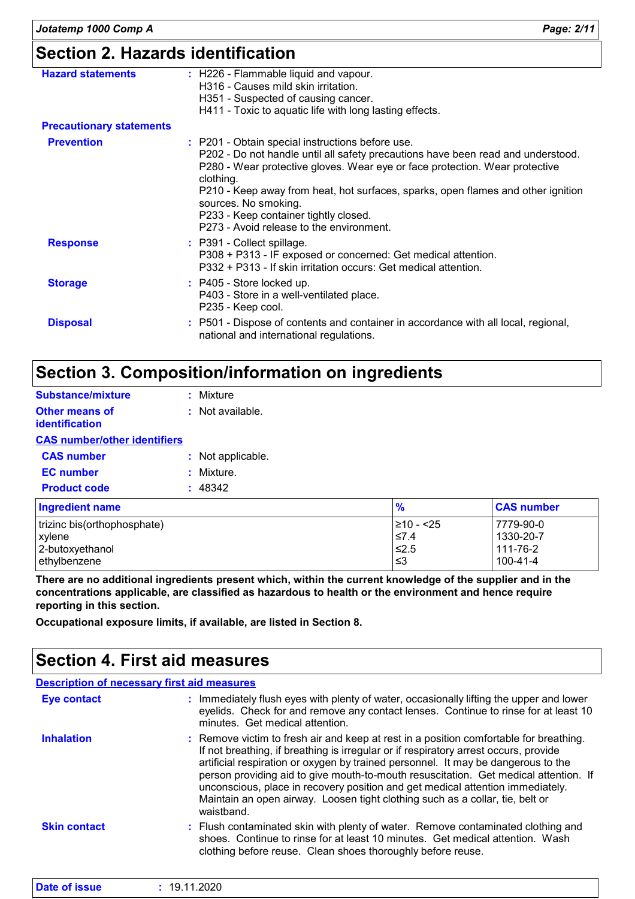# **Section 2. Hazards identification**

| <b>Hazard statements</b>        | : H226 - Flammable liquid and vapour.<br>H316 - Causes mild skin irritation.<br>H351 - Suspected of causing cancer.<br>H411 - Toxic to aquatic life with long lasting effects.                                                                                                                                                                                                                                                    |
|---------------------------------|-----------------------------------------------------------------------------------------------------------------------------------------------------------------------------------------------------------------------------------------------------------------------------------------------------------------------------------------------------------------------------------------------------------------------------------|
| <b>Precautionary statements</b> |                                                                                                                                                                                                                                                                                                                                                                                                                                   |
| <b>Prevention</b>               | : P201 - Obtain special instructions before use.<br>P202 - Do not handle until all safety precautions have been read and understood.<br>P280 - Wear protective gloves. Wear eye or face protection. Wear protective<br>clothing.<br>P210 - Keep away from heat, hot surfaces, sparks, open flames and other ignition<br>sources. No smoking.<br>P233 - Keep container tightly closed.<br>P273 - Avoid release to the environment. |
| <b>Response</b>                 | : P391 - Collect spillage.<br>P308 + P313 - IF exposed or concerned: Get medical attention.<br>P332 + P313 - If skin irritation occurs: Get medical attention.                                                                                                                                                                                                                                                                    |
| <b>Storage</b>                  | $:$ P405 - Store locked up.<br>P403 - Store in a well-ventilated place.<br>P235 - Keep cool.                                                                                                                                                                                                                                                                                                                                      |
| <b>Disposal</b>                 | : P501 - Dispose of contents and container in accordance with all local, regional,<br>national and international regulations.                                                                                                                                                                                                                                                                                                     |

# **Section 3. Composition/information on ingredients**

| <b>Substance/mixture</b>                       | : Mixture         |
|------------------------------------------------|-------------------|
| <b>Other means of</b><br><b>identification</b> | : Not available.  |
| <b>CAS number/other identifiers</b>            |                   |
| <b>CAS number</b>                              | : Not applicable. |
| <b>EC</b> number                               | : Mixture.        |
| <b>Product code</b>                            | : 48342           |
| <b>Ingradiant nama</b>                         |                   |

| Ingredient name             | $\frac{9}{6}$  | <b>CAS number</b> |
|-----------------------------|----------------|-------------------|
| trizinc bis(orthophosphate) | $\geq 10 - 25$ | 7779-90-0         |
| <b>xylene</b>               | ≤7.4           | 1330-20-7         |
| 2-butoxyethanol             | 52.5≥          | i 111-76-2        |
| lethylbenzene               | ו≥ ≥           | 100-41-4          |

**There are no additional ingredients present which, within the current knowledge of the supplier and in the concentrations applicable, are classified as hazardous to health or the environment and hence require reporting in this section.**

**Occupational exposure limits, if available, are listed in Section 8.**

### **Section 4. First aid measures**

### **Description of necessary first aid measures**

| <b>Eye contact</b>  | : Immediately flush eyes with plenty of water, occasionally lifting the upper and lower<br>eyelids. Check for and remove any contact lenses. Continue to rinse for at least 10<br>minutes. Get medical attention.                                                                                                                                                                                                                                                                                                                            |
|---------------------|----------------------------------------------------------------------------------------------------------------------------------------------------------------------------------------------------------------------------------------------------------------------------------------------------------------------------------------------------------------------------------------------------------------------------------------------------------------------------------------------------------------------------------------------|
| <b>Inhalation</b>   | : Remove victim to fresh air and keep at rest in a position comfortable for breathing.<br>If not breathing, if breathing is irregular or if respiratory arrest occurs, provide<br>artificial respiration or oxygen by trained personnel. It may be dangerous to the<br>person providing aid to give mouth-to-mouth resuscitation. Get medical attention. If<br>unconscious, place in recovery position and get medical attention immediately.<br>Maintain an open airway. Loosen tight clothing such as a collar, tie, belt or<br>waistband. |
| <b>Skin contact</b> | : Flush contaminated skin with plenty of water. Remove contaminated clothing and<br>shoes. Continue to rinse for at least 10 minutes. Get medical attention. Wash<br>clothing before reuse. Clean shoes thoroughly before reuse.                                                                                                                                                                                                                                                                                                             |

| Date of issue | 19.11.2020 |  |
|---------------|------------|--|
|               |            |  |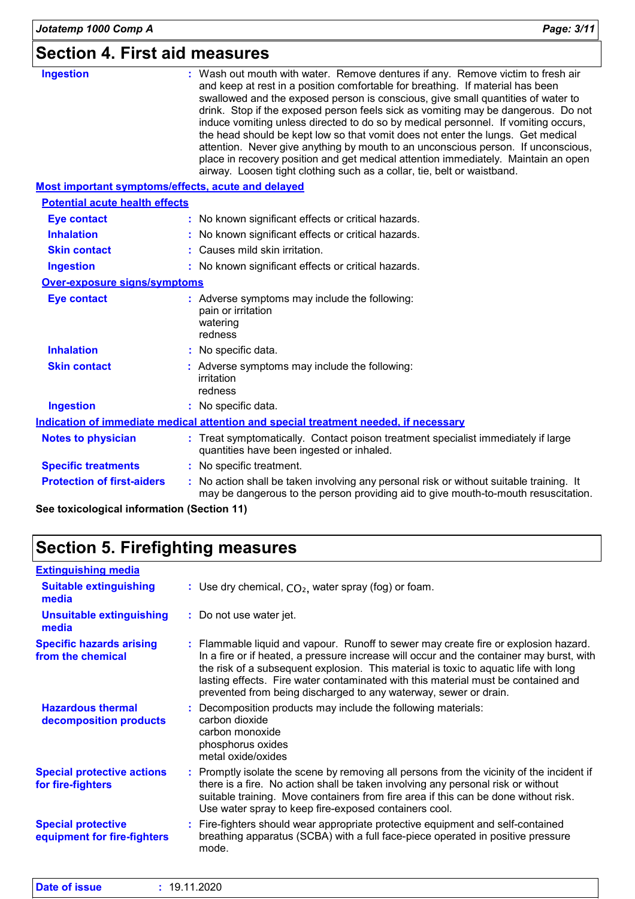### **Section 4. First aid measures**

| <b>Ingestion</b>                                   | : Wash out mouth with water. Remove dentures if any. Remove victim to fresh air<br>and keep at rest in a position comfortable for breathing. If material has been<br>swallowed and the exposed person is conscious, give small quantities of water to<br>drink. Stop if the exposed person feels sick as vomiting may be dangerous. Do not<br>induce vomiting unless directed to do so by medical personnel. If vomiting occurs,<br>the head should be kept low so that vomit does not enter the lungs. Get medical<br>attention. Never give anything by mouth to an unconscious person. If unconscious,<br>place in recovery position and get medical attention immediately. Maintain an open<br>airway. Loosen tight clothing such as a collar, tie, belt or waistband. |
|----------------------------------------------------|---------------------------------------------------------------------------------------------------------------------------------------------------------------------------------------------------------------------------------------------------------------------------------------------------------------------------------------------------------------------------------------------------------------------------------------------------------------------------------------------------------------------------------------------------------------------------------------------------------------------------------------------------------------------------------------------------------------------------------------------------------------------------|
| Most important symptoms/effects, acute and delayed |                                                                                                                                                                                                                                                                                                                                                                                                                                                                                                                                                                                                                                                                                                                                                                           |
| <b>Potential acute health effects</b>              |                                                                                                                                                                                                                                                                                                                                                                                                                                                                                                                                                                                                                                                                                                                                                                           |
| <b>Eye contact</b>                                 | : No known significant effects or critical hazards.                                                                                                                                                                                                                                                                                                                                                                                                                                                                                                                                                                                                                                                                                                                       |
| <b>Inhalation</b>                                  | : No known significant effects or critical hazards.                                                                                                                                                                                                                                                                                                                                                                                                                                                                                                                                                                                                                                                                                                                       |
| <b>Skin contact</b>                                | : Causes mild skin irritation.                                                                                                                                                                                                                                                                                                                                                                                                                                                                                                                                                                                                                                                                                                                                            |
| <b>Ingestion</b>                                   | : No known significant effects or critical hazards.                                                                                                                                                                                                                                                                                                                                                                                                                                                                                                                                                                                                                                                                                                                       |
| <b>Over-exposure signs/symptoms</b>                |                                                                                                                                                                                                                                                                                                                                                                                                                                                                                                                                                                                                                                                                                                                                                                           |
| <b>Eye contact</b>                                 | : Adverse symptoms may include the following:<br>pain or irritation<br>watering<br>redness                                                                                                                                                                                                                                                                                                                                                                                                                                                                                                                                                                                                                                                                                |
| <b>Inhalation</b>                                  | : No specific data.                                                                                                                                                                                                                                                                                                                                                                                                                                                                                                                                                                                                                                                                                                                                                       |
| <b>Skin contact</b>                                | : Adverse symptoms may include the following:<br>irritation<br>redness                                                                                                                                                                                                                                                                                                                                                                                                                                                                                                                                                                                                                                                                                                    |
| <b>Ingestion</b>                                   | : No specific data.                                                                                                                                                                                                                                                                                                                                                                                                                                                                                                                                                                                                                                                                                                                                                       |
|                                                    | Indication of immediate medical attention and special treatment needed, if necessary                                                                                                                                                                                                                                                                                                                                                                                                                                                                                                                                                                                                                                                                                      |
| <b>Notes to physician</b>                          | : Treat symptomatically. Contact poison treatment specialist immediately if large<br>quantities have been ingested or inhaled.                                                                                                                                                                                                                                                                                                                                                                                                                                                                                                                                                                                                                                            |
| <b>Specific treatments</b>                         | : No specific treatment.                                                                                                                                                                                                                                                                                                                                                                                                                                                                                                                                                                                                                                                                                                                                                  |
| <b>Protection of first-aiders</b>                  | : No action shall be taken involving any personal risk or without suitable training. It<br>may be dangerous to the person providing aid to give mouth-to-mouth resuscitation.                                                                                                                                                                                                                                                                                                                                                                                                                                                                                                                                                                                             |

**See toxicological information (Section 11)**

# **Section 5. Firefighting measures**

| <b>Extinguishing media</b>                               |                                                                                                                                                                                                                                                                                                                                                                                                                                  |
|----------------------------------------------------------|----------------------------------------------------------------------------------------------------------------------------------------------------------------------------------------------------------------------------------------------------------------------------------------------------------------------------------------------------------------------------------------------------------------------------------|
| <b>Suitable extinguishing</b><br>media                   | : Use dry chemical, $CO2$ , water spray (fog) or foam.                                                                                                                                                                                                                                                                                                                                                                           |
| <b>Unsuitable extinguishing</b><br>media                 | : Do not use water jet.                                                                                                                                                                                                                                                                                                                                                                                                          |
| <b>Specific hazards arising</b><br>from the chemical     | : Flammable liquid and vapour. Runoff to sewer may create fire or explosion hazard.<br>In a fire or if heated, a pressure increase will occur and the container may burst, with<br>the risk of a subsequent explosion. This material is toxic to aquatic life with long<br>lasting effects. Fire water contaminated with this material must be contained and<br>prevented from being discharged to any waterway, sewer or drain. |
| <b>Hazardous thermal</b><br>decomposition products       | : Decomposition products may include the following materials:<br>carbon dioxide<br>carbon monoxide<br>phosphorus oxides<br>metal oxide/oxides                                                                                                                                                                                                                                                                                    |
| <b>Special protective actions</b><br>for fire-fighters   | : Promptly isolate the scene by removing all persons from the vicinity of the incident if<br>there is a fire. No action shall be taken involving any personal risk or without<br>suitable training. Move containers from fire area if this can be done without risk.<br>Use water spray to keep fire-exposed containers cool.                                                                                                    |
| <b>Special protective</b><br>equipment for fire-fighters | : Fire-fighters should wear appropriate protective equipment and self-contained<br>breathing apparatus (SCBA) with a full face-piece operated in positive pressure<br>mode.                                                                                                                                                                                                                                                      |

| <b>Date of issue</b> | 19.11.2020 |
|----------------------|------------|
|----------------------|------------|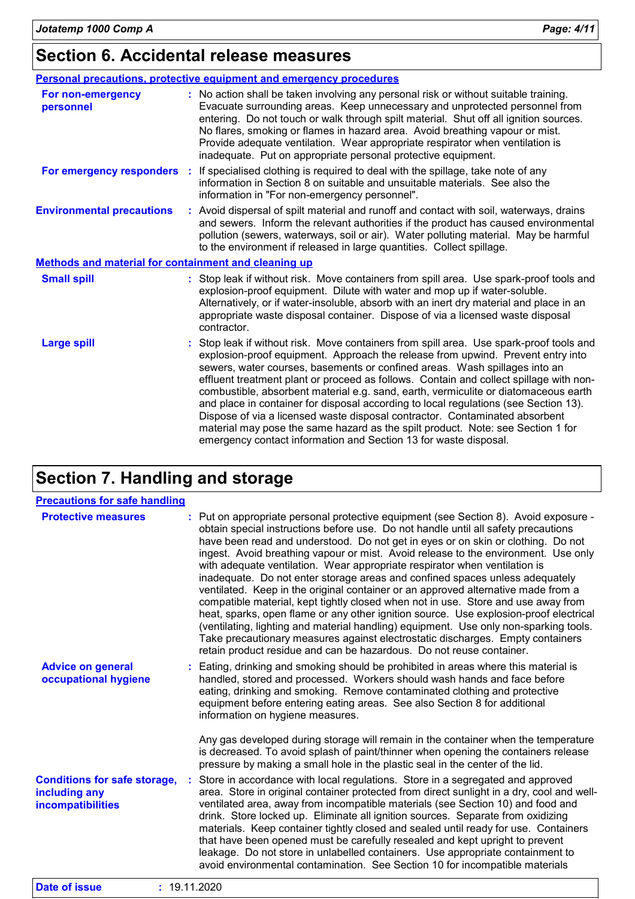|                                                             | Personal precautions, protective equipment and emergency procedures                                                                                                                                                                                                                                                                                                                                                                                                                                                                                                                                                                                                                                                                                                     |
|-------------------------------------------------------------|-------------------------------------------------------------------------------------------------------------------------------------------------------------------------------------------------------------------------------------------------------------------------------------------------------------------------------------------------------------------------------------------------------------------------------------------------------------------------------------------------------------------------------------------------------------------------------------------------------------------------------------------------------------------------------------------------------------------------------------------------------------------------|
| For non-emergency<br>personnel                              | : No action shall be taken involving any personal risk or without suitable training.<br>Evacuate surrounding areas. Keep unnecessary and unprotected personnel from<br>entering. Do not touch or walk through spilt material. Shut off all ignition sources.<br>No flares, smoking or flames in hazard area. Avoid breathing vapour or mist.<br>Provide adequate ventilation. Wear appropriate respirator when ventilation is<br>inadequate. Put on appropriate personal protective equipment.                                                                                                                                                                                                                                                                          |
| For emergency responders :                                  | If specialised clothing is required to deal with the spillage, take note of any<br>information in Section 8 on suitable and unsuitable materials. See also the<br>information in "For non-emergency personnel".                                                                                                                                                                                                                                                                                                                                                                                                                                                                                                                                                         |
| <b>Environmental precautions</b>                            | : Avoid dispersal of spilt material and runoff and contact with soil, waterways, drains<br>and sewers. Inform the relevant authorities if the product has caused environmental<br>pollution (sewers, waterways, soil or air). Water polluting material. May be harmful<br>to the environment if released in large quantities. Collect spillage.                                                                                                                                                                                                                                                                                                                                                                                                                         |
| <b>Methods and material for containment and cleaning up</b> |                                                                                                                                                                                                                                                                                                                                                                                                                                                                                                                                                                                                                                                                                                                                                                         |
| <b>Small spill</b>                                          | : Stop leak if without risk. Move containers from spill area. Use spark-proof tools and<br>explosion-proof equipment. Dilute with water and mop up if water-soluble.<br>Alternatively, or if water-insoluble, absorb with an inert dry material and place in an<br>appropriate waste disposal container. Dispose of via a licensed waste disposal<br>contractor.                                                                                                                                                                                                                                                                                                                                                                                                        |
| <b>Large spill</b>                                          | : Stop leak if without risk. Move containers from spill area. Use spark-proof tools and<br>explosion-proof equipment. Approach the release from upwind. Prevent entry into<br>sewers, water courses, basements or confined areas. Wash spillages into an<br>effluent treatment plant or proceed as follows. Contain and collect spillage with non-<br>combustible, absorbent material e.g. sand, earth, vermiculite or diatomaceous earth<br>and place in container for disposal according to local regulations (see Section 13).<br>Dispose of via a licensed waste disposal contractor. Contaminated absorbent<br>material may pose the same hazard as the spilt product. Note: see Section 1 for<br>emergency contact information and Section 13 for waste disposal. |

# **Section 7. Handling and storage**

| <b>Precautions for safe handling</b>                                      |                                                                                                                                                                                                                                                                                                                                                                                                                                                                                                                                                                                                                                                                                                                                                                                                                                                                                                                                                                                                                                          |
|---------------------------------------------------------------------------|------------------------------------------------------------------------------------------------------------------------------------------------------------------------------------------------------------------------------------------------------------------------------------------------------------------------------------------------------------------------------------------------------------------------------------------------------------------------------------------------------------------------------------------------------------------------------------------------------------------------------------------------------------------------------------------------------------------------------------------------------------------------------------------------------------------------------------------------------------------------------------------------------------------------------------------------------------------------------------------------------------------------------------------|
| <b>Protective measures</b>                                                | : Put on appropriate personal protective equipment (see Section 8). Avoid exposure -<br>obtain special instructions before use. Do not handle until all safety precautions<br>have been read and understood. Do not get in eyes or on skin or clothing. Do not<br>ingest. Avoid breathing vapour or mist. Avoid release to the environment. Use only<br>with adequate ventilation. Wear appropriate respirator when ventilation is<br>inadequate. Do not enter storage areas and confined spaces unless adequately<br>ventilated. Keep in the original container or an approved alternative made from a<br>compatible material, kept tightly closed when not in use. Store and use away from<br>heat, sparks, open flame or any other ignition source. Use explosion-proof electrical<br>(ventilating, lighting and material handling) equipment. Use only non-sparking tools.<br>Take precautionary measures against electrostatic discharges. Empty containers<br>retain product residue and can be hazardous. Do not reuse container. |
| <b>Advice on general</b><br>occupational hygiene                          | : Eating, drinking and smoking should be prohibited in areas where this material is<br>handled, stored and processed. Workers should wash hands and face before<br>eating, drinking and smoking. Remove contaminated clothing and protective<br>equipment before entering eating areas. See also Section 8 for additional<br>information on hygiene measures.<br>Any gas developed during storage will remain in the container when the temperature                                                                                                                                                                                                                                                                                                                                                                                                                                                                                                                                                                                      |
|                                                                           | is decreased. To avoid splash of paint/thinner when opening the containers release<br>pressure by making a small hole in the plastic seal in the center of the lid.                                                                                                                                                                                                                                                                                                                                                                                                                                                                                                                                                                                                                                                                                                                                                                                                                                                                      |
| <b>Conditions for safe storage,</b><br>including any<br>incompatibilities | Store in accordance with local regulations. Store in a segregated and approved<br>area. Store in original container protected from direct sunlight in a dry, cool and well-<br>ventilated area, away from incompatible materials (see Section 10) and food and<br>drink. Store locked up. Eliminate all ignition sources. Separate from oxidizing<br>materials. Keep container tightly closed and sealed until ready for use. Containers<br>that have been opened must be carefully resealed and kept upright to prevent<br>leakage. Do not store in unlabelled containers. Use appropriate containment to<br>avoid environmental contamination. See Section 10 for incompatible materials                                                                                                                                                                                                                                                                                                                                               |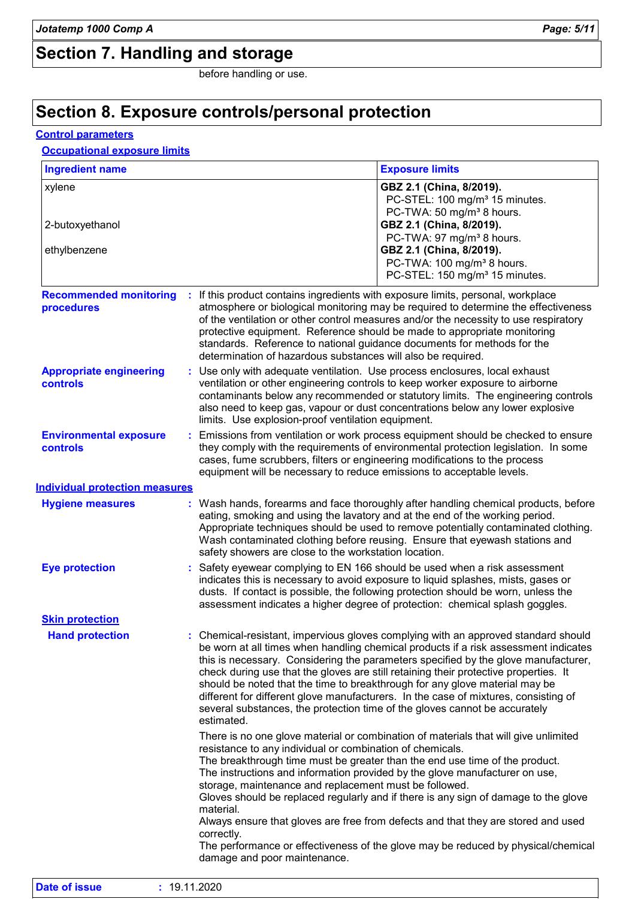# **Section 7. Handling and storage**

before handling or use.

### **Section 8. Exposure controls/personal protection**

### **Control parameters**

### **Occupational exposure limits**

| <b>Ingredient name</b>                            |                                                                                                                                                                                                                                                                                                                                                                                                   | <b>Exposure limits</b>                                                                                                                                                                                                                                                                                                                                                                                                                                                                                                        |  |
|---------------------------------------------------|---------------------------------------------------------------------------------------------------------------------------------------------------------------------------------------------------------------------------------------------------------------------------------------------------------------------------------------------------------------------------------------------------|-------------------------------------------------------------------------------------------------------------------------------------------------------------------------------------------------------------------------------------------------------------------------------------------------------------------------------------------------------------------------------------------------------------------------------------------------------------------------------------------------------------------------------|--|
| xylene                                            |                                                                                                                                                                                                                                                                                                                                                                                                   | GBZ 2.1 (China, 8/2019).<br>PC-STEL: 100 mg/m <sup>3</sup> 15 minutes.<br>PC-TWA: 50 mg/m <sup>3</sup> 8 hours.                                                                                                                                                                                                                                                                                                                                                                                                               |  |
| 2-butoxyethanol<br>ethylbenzene                   |                                                                                                                                                                                                                                                                                                                                                                                                   | GBZ 2.1 (China, 8/2019).<br>PC-TWA: 97 mg/m <sup>3</sup> 8 hours.<br>GBZ 2.1 (China, 8/2019).<br>PC-TWA: 100 mg/m <sup>3</sup> 8 hours.                                                                                                                                                                                                                                                                                                                                                                                       |  |
|                                                   |                                                                                                                                                                                                                                                                                                                                                                                                   | PC-STEL: 150 mg/m <sup>3</sup> 15 minutes.                                                                                                                                                                                                                                                                                                                                                                                                                                                                                    |  |
| <b>Recommended monitoring</b><br>procedures       |                                                                                                                                                                                                                                                                                                                                                                                                   | If this product contains ingredients with exposure limits, personal, workplace<br>atmosphere or biological monitoring may be required to determine the effectiveness<br>of the ventilation or other control measures and/or the necessity to use respiratory<br>protective equipment. Reference should be made to appropriate monitoring<br>standards. Reference to national guidance documents for methods for the<br>determination of hazardous substances will also be required.                                           |  |
| <b>Appropriate engineering</b><br><b>controls</b> | Use only with adequate ventilation. Use process enclosures, local exhaust<br>ventilation or other engineering controls to keep worker exposure to airborne<br>contaminants below any recommended or statutory limits. The engineering controls<br>also need to keep gas, vapour or dust concentrations below any lower explosive<br>limits. Use explosion-proof ventilation equipment.            |                                                                                                                                                                                                                                                                                                                                                                                                                                                                                                                               |  |
| <b>Environmental exposure</b><br>controls         |                                                                                                                                                                                                                                                                                                                                                                                                   | Emissions from ventilation or work process equipment should be checked to ensure<br>they comply with the requirements of environmental protection legislation. In some<br>cases, fume scrubbers, filters or engineering modifications to the process<br>equipment will be necessary to reduce emissions to acceptable levels.                                                                                                                                                                                                 |  |
| <b>Individual protection measures</b>             |                                                                                                                                                                                                                                                                                                                                                                                                   |                                                                                                                                                                                                                                                                                                                                                                                                                                                                                                                               |  |
| <b>Hygiene measures</b>                           | : Wash hands, forearms and face thoroughly after handling chemical products, before<br>eating, smoking and using the lavatory and at the end of the working period.<br>Appropriate techniques should be used to remove potentially contaminated clothing.<br>Wash contaminated clothing before reusing. Ensure that eyewash stations and<br>safety showers are close to the workstation location. |                                                                                                                                                                                                                                                                                                                                                                                                                                                                                                                               |  |
| <b>Eye protection</b>                             | : Safety eyewear complying to EN 166 should be used when a risk assessment<br>indicates this is necessary to avoid exposure to liquid splashes, mists, gases or<br>dusts. If contact is possible, the following protection should be worn, unless the<br>assessment indicates a higher degree of protection: chemical splash goggles.                                                             |                                                                                                                                                                                                                                                                                                                                                                                                                                                                                                                               |  |
| <b>Skin protection</b>                            |                                                                                                                                                                                                                                                                                                                                                                                                   |                                                                                                                                                                                                                                                                                                                                                                                                                                                                                                                               |  |
| <b>Hand protection</b>                            | several substances, the protection time of the gloves cannot be accurately<br>estimated.                                                                                                                                                                                                                                                                                                          | : Chemical-resistant, impervious gloves complying with an approved standard should<br>be worn at all times when handling chemical products if a risk assessment indicates<br>this is necessary. Considering the parameters specified by the glove manufacturer,<br>check during use that the gloves are still retaining their protective properties. It<br>should be noted that the time to breakthrough for any glove material may be<br>different for different glove manufacturers. In the case of mixtures, consisting of |  |
|                                                   | resistance to any individual or combination of chemicals.<br>storage, maintenance and replacement must be followed.<br>material.<br>correctly.<br>damage and poor maintenance.                                                                                                                                                                                                                    | There is no one glove material or combination of materials that will give unlimited<br>The breakthrough time must be greater than the end use time of the product.<br>The instructions and information provided by the glove manufacturer on use,<br>Gloves should be replaced regularly and if there is any sign of damage to the glove<br>Always ensure that gloves are free from defects and that they are stored and used<br>The performance or effectiveness of the glove may be reduced by physical/chemical            |  |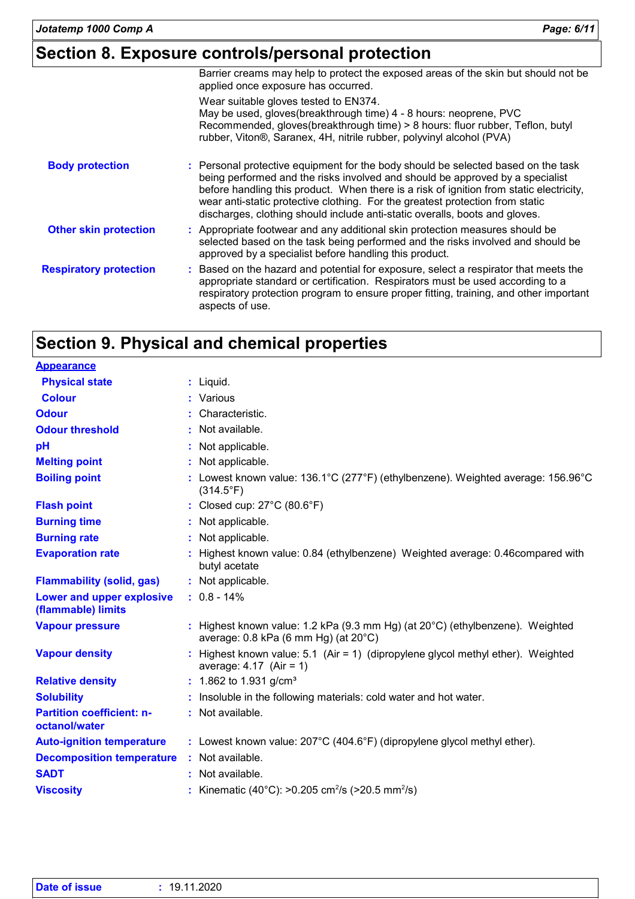# **Section 8. Exposure controls/personal protection**

| Barrier creams may help to protect the exposed areas of the skin but should not be<br>applied once exposure has occurred.<br>Wear suitable gloves tested to EN374.<br>May be used, gloves(breakthrough time) 4 - 8 hours: neoprene, PVC<br>Recommended, gloves(breakthrough time) > 8 hours: fluor rubber, Teflon, butyl<br>rubber, Viton®, Saranex, 4H, nitrile rubber, polyvinyl alcohol (PVA)<br>: Personal protective equipment for the body should be selected based on the task<br><b>Body protection</b><br>being performed and the risks involved and should be approved by a specialist<br>before handling this product. When there is a risk of ignition from static electricity,<br>wear anti-static protective clothing. For the greatest protection from static<br>discharges, clothing should include anti-static overalls, boots and gloves.<br>: Appropriate footwear and any additional skin protection measures should be<br><b>Other skin protection</b><br>selected based on the task being performed and the risks involved and should be<br>approved by a specialist before handling this product.<br>: Based on the hazard and potential for exposure, select a respirator that meets the<br>appropriate standard or certification. Respirators must be used according to a<br>respiratory protection program to ensure proper fitting, training, and other important<br>aspects of use. |                               |  |
|-----------------------------------------------------------------------------------------------------------------------------------------------------------------------------------------------------------------------------------------------------------------------------------------------------------------------------------------------------------------------------------------------------------------------------------------------------------------------------------------------------------------------------------------------------------------------------------------------------------------------------------------------------------------------------------------------------------------------------------------------------------------------------------------------------------------------------------------------------------------------------------------------------------------------------------------------------------------------------------------------------------------------------------------------------------------------------------------------------------------------------------------------------------------------------------------------------------------------------------------------------------------------------------------------------------------------------------------------------------------------------------------------------------------|-------------------------------|--|
|                                                                                                                                                                                                                                                                                                                                                                                                                                                                                                                                                                                                                                                                                                                                                                                                                                                                                                                                                                                                                                                                                                                                                                                                                                                                                                                                                                                                                 |                               |  |
|                                                                                                                                                                                                                                                                                                                                                                                                                                                                                                                                                                                                                                                                                                                                                                                                                                                                                                                                                                                                                                                                                                                                                                                                                                                                                                                                                                                                                 |                               |  |
|                                                                                                                                                                                                                                                                                                                                                                                                                                                                                                                                                                                                                                                                                                                                                                                                                                                                                                                                                                                                                                                                                                                                                                                                                                                                                                                                                                                                                 |                               |  |
|                                                                                                                                                                                                                                                                                                                                                                                                                                                                                                                                                                                                                                                                                                                                                                                                                                                                                                                                                                                                                                                                                                                                                                                                                                                                                                                                                                                                                 |                               |  |
|                                                                                                                                                                                                                                                                                                                                                                                                                                                                                                                                                                                                                                                                                                                                                                                                                                                                                                                                                                                                                                                                                                                                                                                                                                                                                                                                                                                                                 | <b>Respiratory protection</b> |  |

# **Section 9. Physical and chemical properties**

| <b>Appearance</b>                                 |                                                                                                                                             |
|---------------------------------------------------|---------------------------------------------------------------------------------------------------------------------------------------------|
| <b>Physical state</b>                             | $:$ Liquid.                                                                                                                                 |
| <b>Colour</b>                                     | : Various                                                                                                                                   |
| <b>Odour</b>                                      | : Characteristic.                                                                                                                           |
| <b>Odour threshold</b>                            | : Not available.                                                                                                                            |
| pH                                                | : Not applicable.                                                                                                                           |
| <b>Melting point</b>                              | : Not applicable.                                                                                                                           |
| <b>Boiling point</b>                              | : Lowest known value: $136.1^{\circ}$ C (277 $^{\circ}$ F) (ethylbenzene). Weighted average: $156.96^{\circ}$ C<br>$(314.5^{\circ}F)$       |
| <b>Flash point</b>                                | : Closed cup: 27°C (80.6°F)                                                                                                                 |
| <b>Burning time</b>                               | : Not applicable.                                                                                                                           |
| <b>Burning rate</b>                               | : Not applicable.                                                                                                                           |
| <b>Evaporation rate</b>                           | : Highest known value: 0.84 (ethylbenzene) Weighted average: 0.46 compared with<br>butyl acetate                                            |
| <b>Flammability (solid, gas)</b>                  | : Not applicable.                                                                                                                           |
| Lower and upper explosive<br>(flammable) limits   | $: 0.8 - 14\%$                                                                                                                              |
| <b>Vapour pressure</b>                            | : Highest known value: 1.2 kPa (9.3 mm Hg) (at $20^{\circ}$ C) (ethylbenzene). Weighted<br>average: $0.8$ kPa (6 mm Hg) (at $20^{\circ}$ C) |
| <b>Vapour density</b>                             | : Highest known value: $5.1$ (Air = 1) (dipropylene glycol methyl ether). Weighted<br>average: $4.17$ (Air = 1)                             |
| <b>Relative density</b>                           | : 1.862 to 1.931 g/cm <sup>3</sup>                                                                                                          |
| <b>Solubility</b>                                 | : Insoluble in the following materials: cold water and hot water.                                                                           |
| <b>Partition coefficient: n-</b><br>octanol/water | : Not available.                                                                                                                            |
| <b>Auto-ignition temperature</b>                  | : Lowest known value: 207°C (404.6°F) (dipropylene glycol methyl ether).                                                                    |
| <b>Decomposition temperature</b>                  | : Not available.                                                                                                                            |
| <b>SADT</b>                                       | : Not available.                                                                                                                            |
| <b>Viscosity</b>                                  | Kinematic (40°C): >0.205 cm <sup>2</sup> /s (>20.5 mm <sup>2</sup> /s)                                                                      |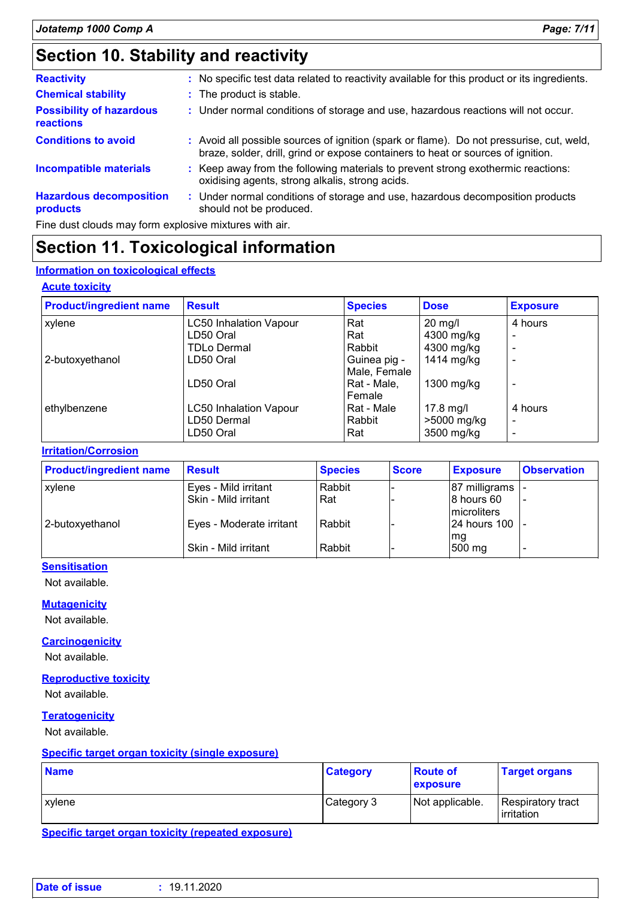| <b>Reactivity</b>                                   | : No specific test data related to reactivity available for this product or its ingredients.                                                                                 |
|-----------------------------------------------------|------------------------------------------------------------------------------------------------------------------------------------------------------------------------------|
| <b>Chemical stability</b>                           | : The product is stable.                                                                                                                                                     |
| <b>Possibility of hazardous</b><br><b>reactions</b> | : Under normal conditions of storage and use, hazardous reactions will not occur.                                                                                            |
| <b>Conditions to avoid</b>                          | : Avoid all possible sources of ignition (spark or flame). Do not pressurise, cut, weld,<br>braze, solder, drill, grind or expose containers to heat or sources of ignition. |
| Incompatible materials                              | : Keep away from the following materials to prevent strong exothermic reactions:<br>oxidising agents, strong alkalis, strong acids.                                          |
| <b>Hazardous decomposition</b><br>products          | Under normal conditions of storage and use, hazardous decomposition products<br>÷.<br>should not be produced.                                                                |

Fine dust clouds may form explosive mixtures with air.

### **Section 11. Toxicological information**

### **Information on toxicological effects**

### **Acute toxicity**

| <b>Product/ingredient name</b> | <b>Result</b>                 | <b>Species</b> | <b>Dose</b>       | <b>Exposure</b>          |
|--------------------------------|-------------------------------|----------------|-------------------|--------------------------|
| xylene                         | <b>LC50 Inhalation Vapour</b> | Rat            | $20 \text{ mg/l}$ | 4 hours                  |
|                                | LD50 Oral                     | Rat            | 4300 mg/kg        |                          |
|                                | <b>TDLo Dermal</b>            | Rabbit         | 4300 mg/kg        |                          |
| 2-butoxyethanol                | LD50 Oral                     | Guinea pig -   | 1414 mg/kg        |                          |
|                                |                               | Male, Female   |                   |                          |
|                                | LD50 Oral                     | Rat - Male,    | 1300 mg/kg        |                          |
|                                |                               | Female         |                   |                          |
| ethylbenzene                   | <b>LC50 Inhalation Vapour</b> | Rat - Male     | 17.8 mg/l         | 4 hours                  |
|                                | LD50 Dermal                   | Rabbit         | >5000 mg/kg       | $\overline{\phantom{0}}$ |
|                                | LD50 Oral                     | Rat            | 3500 mg/kg        |                          |

### **Irritation/Corrosion**

| <b>Product/ingredient name</b> | Result                   | <b>Species</b> | <b>Score</b> | <b>Exposure</b>           | <b>Observation</b> |
|--------------------------------|--------------------------|----------------|--------------|---------------------------|--------------------|
| <b>xylene</b>                  | Eyes - Mild irritant     | Rabbit         |              | 87 milligrams             |                    |
|                                | Skin - Mild irritant     | l Rat          |              | 8 hours 60<br>microliters |                    |
| 2-butoxyethanol                | Eyes - Moderate irritant | Rabbit         |              | 24 hours 100 -            |                    |
|                                | Skin - Mild irritant     | Rabbit         |              | mg<br>500 mg              |                    |

### **Sensitisation**

Not available.

### **Mutagenicity**

Not available.

#### **Carcinogenicity**

Not available.

### **Reproductive toxicity**

Not available.

### **Teratogenicity**

Not available.

#### **Specific target organ toxicity (single exposure)**

| <b>Name</b>   | <b>Category</b> | <b>Route of</b><br>exposure | <b>Target organs</b>                    |
|---------------|-----------------|-----------------------------|-----------------------------------------|
| <b>xvlene</b> | Category 3      | Not applicable.             | Respiratory tract<br><b>lirritation</b> |

**Specific target organ toxicity (repeated exposure)**

| <b>Date of issue</b> | 19.11.2020 |
|----------------------|------------|
|                      |            |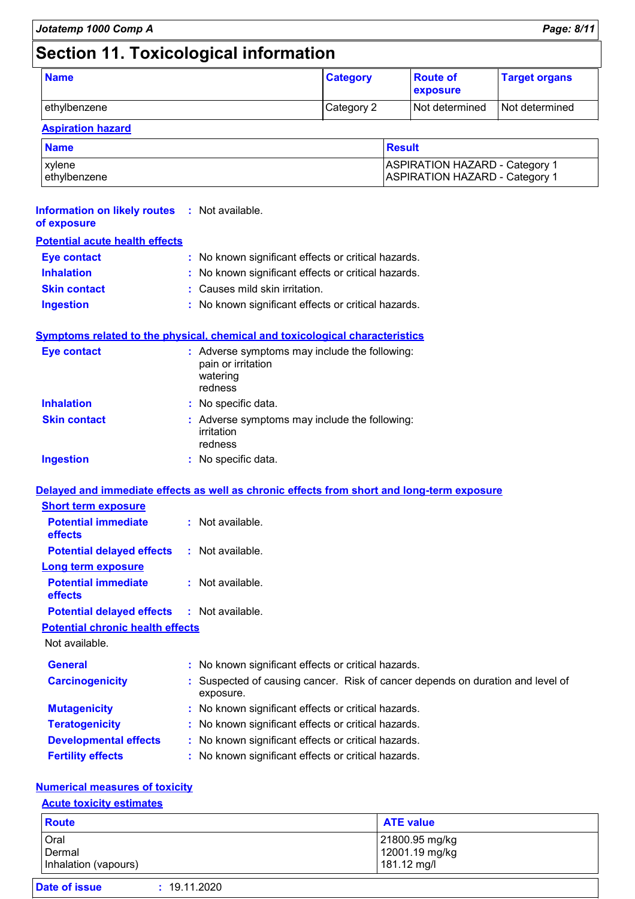# **Section 11. Toxicological information**

| <b>Name</b>  | <b>Category</b> | <b>Route of</b><br><b>exposure</b> | <b>Target organs</b> |
|--------------|-----------------|------------------------------------|----------------------|
| ethylbenzene | Category 2      | l Not determined                   | Not determined       |

### **Aspiration hazard**

| <b>Name</b>  | Result                                |
|--------------|---------------------------------------|
| xvlene       | <b>ASPIRATION HAZARD - Category 1</b> |
| ethylbenzene | <b>ASPIRATION HAZARD - Category 1</b> |

### **Potential acute health effects Inhalation :** No known significant effects or critical hazards. **Eye contact :** No known significant effects or critical hazards. **Information on likely routes :** Not available. **of exposure**

| <b>Skin contact</b> | : Causes mild skin irritation. |
|---------------------|--------------------------------|
|                     |                                |

**Ingestion :** No known significant effects or critical hazards.

### **Symptoms related to the physical, chemical and toxicological characteristics**

| <b>Eye contact</b>  | : Adverse symptoms may include the following:<br>pain or irritation<br>watering<br>redness |  |
|---------------------|--------------------------------------------------------------------------------------------|--|
| <b>Inhalation</b>   | : No specific data.                                                                        |  |
| <b>Skin contact</b> | : Adverse symptoms may include the following:<br>irritation<br>redness                     |  |
| <b>Ingestion</b>    | : No specific data.                                                                        |  |

### **Delayed and immediate effects as well as chronic effects from short and long-term exposure**

| <b>Short term exposure</b>            |                    |  |
|---------------------------------------|--------------------|--|
| <b>Potential immediate</b><br>effects | $:$ Not available. |  |
| <b>Potential delayed effects</b>      | : Not available.   |  |
| Long term exposure                    |                    |  |
| <b>Potential immediate</b><br>effects | $:$ Not available. |  |
| <b>Potential delayed effects</b>      | : Not available.   |  |

### **Potential chronic health effects**

Not available.

| <b>General</b>               | : No known significant effects or critical hazards.                                         |
|------------------------------|---------------------------------------------------------------------------------------------|
| <b>Carcinogenicity</b>       | : Suspected of causing cancer. Risk of cancer depends on duration and level of<br>exposure. |
| <b>Mutagenicity</b>          | : No known significant effects or critical hazards.                                         |
| <b>Teratogenicity</b>        | : No known significant effects or critical hazards.                                         |
| <b>Developmental effects</b> | : No known significant effects or critical hazards.                                         |
| <b>Fertility effects</b>     | : No known significant effects or critical hazards.                                         |

### **Numerical measures of toxicity**

| <b>Acute toxicity estimates</b>        |                                                 |  |
|----------------------------------------|-------------------------------------------------|--|
| <b>Route</b>                           | <b>ATE value</b>                                |  |
| Oral<br>Dermal<br>Inhalation (vapours) | 21800.95 mg/kg<br>12001.19 mg/kg<br>181.12 mg/l |  |
| Date of issue                          | : 19.11.2020                                    |  |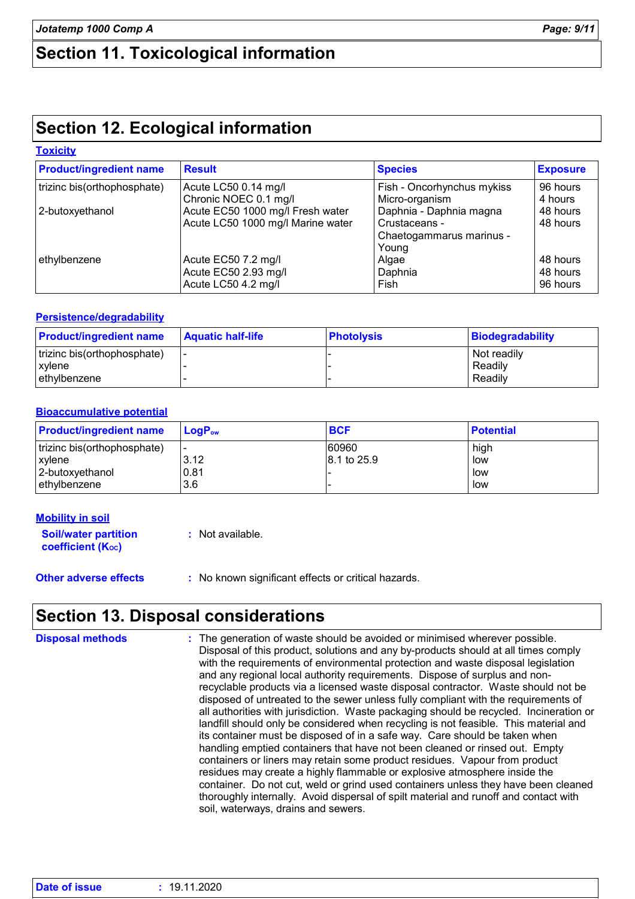### **Section 11. Toxicological information**

# **Section 12. Ecological information**

### **Toxicity**

| <b>Product/ingredient name</b> | <b>Result</b>                     | <b>Species</b>             | <b>Exposure</b> |
|--------------------------------|-----------------------------------|----------------------------|-----------------|
| trizinc bis(orthophosphate)    | Acute LC50 0.14 mg/l              | Fish - Oncorhynchus mykiss | 96 hours        |
|                                | Chronic NOEC 0.1 mg/l             | Micro-organism             | 4 hours         |
| 2-butoxyethanol                | Acute EC50 1000 mg/l Fresh water  | Daphnia - Daphnia magna    | 48 hours        |
|                                | Acute LC50 1000 mg/l Marine water | Crustaceans -              | 48 hours        |
|                                |                                   | Chaetogammarus marinus -   |                 |
|                                |                                   | Young                      |                 |
| ethylbenzene                   | Acute EC50 7.2 mg/l               | Algae                      | 48 hours        |
|                                | Acute EC50 2.93 mg/l              | Daphnia                    | 48 hours        |
|                                | Acute LC50 4.2 mg/l               | Fish                       | 96 hours        |

### **Persistence/degradability**

| <b>Product/ingredient name</b> | <b>Aquatic half-life</b> | <b>Photolysis</b> | Biodegradability |
|--------------------------------|--------------------------|-------------------|------------------|
| trizinc bis(orthophosphate)    | -                        |                   | Not readily      |
| xvlene                         |                          |                   | Readily          |
| lethylbenzene                  |                          |                   | Readily          |

### **Bioaccumulative potential**

| <b>Product/ingredient name</b> | $LoaPow$                 | <b>BCF</b>  | <b>Potential</b> |
|--------------------------------|--------------------------|-------------|------------------|
| trizinc bis(orthophosphate)    | $\overline{\phantom{0}}$ | 60960       | high             |
| xylene                         | 3.12                     | 8.1 to 25.9 | low              |
| 2-butoxyethanol                | 0.81                     |             | low              |
| ethylbenzene                   | 3.6                      |             | low              |

| <b>Mobility in soil</b>                                 |                  |
|---------------------------------------------------------|------------------|
| <b>Soil/water partition</b><br><b>coefficient (Koc)</b> | : Not available. |

**Other adverse effects** : No known significant effects or critical hazards.

### **Section 13. Disposal considerations**

| <b>Disposal methods</b> | : The generation of waste should be avoided or minimised wherever possible.<br>Disposal of this product, solutions and any by-products should at all times comply<br>with the requirements of environmental protection and waste disposal legislation<br>and any regional local authority requirements. Dispose of surplus and non-<br>recyclable products via a licensed waste disposal contractor. Waste should not be<br>disposed of untreated to the sewer unless fully compliant with the requirements of<br>all authorities with jurisdiction. Waste packaging should be recycled. Incineration or<br>landfill should only be considered when recycling is not feasible. This material and<br>its container must be disposed of in a safe way. Care should be taken when<br>handling emptied containers that have not been cleaned or rinsed out. Empty<br>containers or liners may retain some product residues. Vapour from product<br>residues may create a highly flammable or explosive atmosphere inside the<br>container. Do not cut, weld or grind used containers unless they have been cleaned |
|-------------------------|----------------------------------------------------------------------------------------------------------------------------------------------------------------------------------------------------------------------------------------------------------------------------------------------------------------------------------------------------------------------------------------------------------------------------------------------------------------------------------------------------------------------------------------------------------------------------------------------------------------------------------------------------------------------------------------------------------------------------------------------------------------------------------------------------------------------------------------------------------------------------------------------------------------------------------------------------------------------------------------------------------------------------------------------------------------------------------------------------------------|
|                         | thoroughly internally. Avoid dispersal of spilt material and runoff and contact with<br>soil, waterways, drains and sewers.                                                                                                                                                                                                                                                                                                                                                                                                                                                                                                                                                                                                                                                                                                                                                                                                                                                                                                                                                                                    |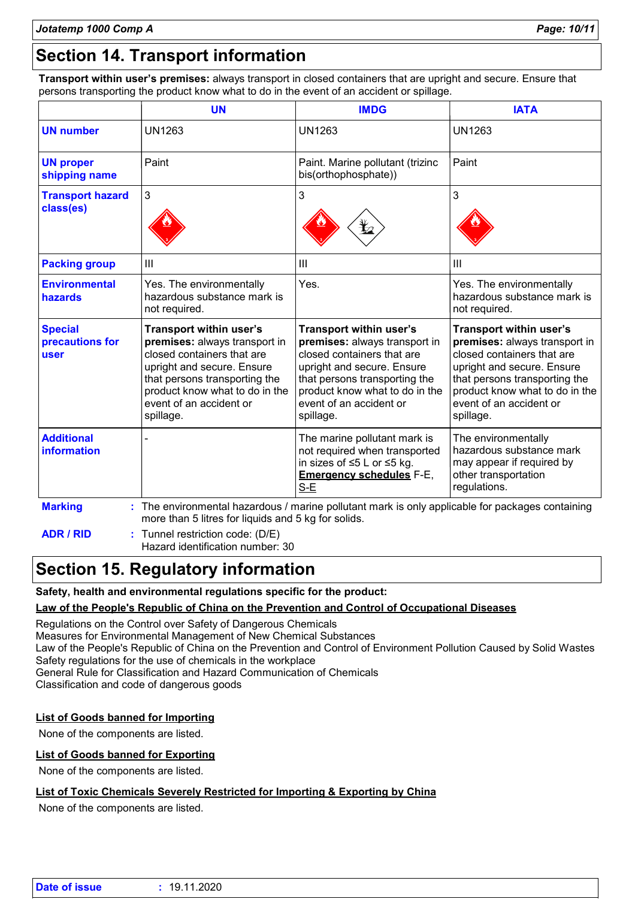# **Section 14. Transport information**

**Transport within user's premises:** always transport in closed containers that are upright and secure. Ensure that persons transporting the product know what to do in the event of an accident or spillage.

| <b>UN1263</b><br>Paint. Marine pollutant (trizinc<br>bis(orthophosphate))<br>3<br>$\mathbf{III}$<br>Yes.<br>Yes. The environmentally<br>hazardous substance mark is<br><b>Transport within user's</b><br>Transport within user's<br>premises: always transport in<br>premises: always transport in | <b>UN1263</b><br>Paint<br>3<br>$\mathbf{III}$<br>Yes. The environmentally<br>hazardous substance mark is<br>not required.<br><b>Transport within user's</b>                                          |
|----------------------------------------------------------------------------------------------------------------------------------------------------------------------------------------------------------------------------------------------------------------------------------------------------|------------------------------------------------------------------------------------------------------------------------------------------------------------------------------------------------------|
|                                                                                                                                                                                                                                                                                                    |                                                                                                                                                                                                      |
|                                                                                                                                                                                                                                                                                                    |                                                                                                                                                                                                      |
|                                                                                                                                                                                                                                                                                                    |                                                                                                                                                                                                      |
|                                                                                                                                                                                                                                                                                                    |                                                                                                                                                                                                      |
|                                                                                                                                                                                                                                                                                                    |                                                                                                                                                                                                      |
| closed containers that are<br>closed containers that are<br>upright and secure. Ensure<br>upright and secure. Ensure<br>that persons transporting the<br>that persons transporting the<br>product know what to do in the<br>product know what to do in the<br>event of an accident or<br>spillage. | premises: always transport in<br>closed containers that are<br>upright and secure. Ensure<br>that persons transporting the<br>product know what to do in the<br>event of an accident or<br>spillage. |
| The marine pollutant mark is<br>not required when transported<br>in sizes of ≤5 L or ≤5 kg.<br><b>Emergency schedules F-E,</b><br>S-E                                                                                                                                                              | The environmentally<br>hazardous substance mark<br>may appear if required by<br>other transportation<br>regulations.                                                                                 |
|                                                                                                                                                                                                                                                                                                    | : The environmental hazardous / marine pollutant mark is only applicable for packages containing<br>more than 5 litres for liquids and 5 kg for solids.                                              |

Hazard identification number: 30

### **Section 15. Regulatory information**

### **Safety, health and environmental regulations specific for the product:**

### **Law of the People's Republic of China on the Prevention and Control of Occupational Diseases**

Regulations on the Control over Safety of Dangerous Chemicals Measures for Environmental Management of New Chemical Substances Law of the People's Republic of China on the Prevention and Control of Environment Pollution Caused by Solid Wastes Safety regulations for the use of chemicals in the workplace General Rule for Classification and Hazard Communication of Chemicals Classification and code of dangerous goods

### **List of Goods banned for Importing**

None of the components are listed.

### **List of Goods banned for Exporting**

None of the components are listed.

### **List of Toxic Chemicals Severely Restricted for Importing & Exporting by China**

None of the components are listed.